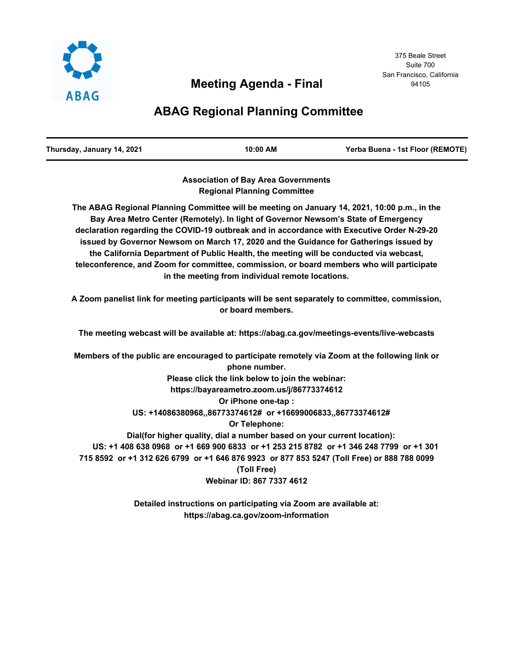

# **ABAG Regional Planning Committee**

| Thursday, January 14, 2021 | 10:00 AM | Yerba Buena - 1st Floor (REMOTE) |
|----------------------------|----------|----------------------------------|
|                            |          |                                  |

**Association of Bay Area Governments Regional Planning Committee**

**The ABAG Regional Planning Committee will be meeting on January 14, 2021, 10:00 p.m., in the Bay Area Metro Center (Remotely). In light of Governor Newsom's State of Emergency declaration regarding the COVID-19 outbreak and in accordance with Executive Order N-29-20 issued by Governor Newsom on March 17, 2020 and the Guidance for Gatherings issued by the California Department of Public Health, the meeting will be conducted via webcast, teleconference, and Zoom for committee, commission, or board members who will participate in the meeting from individual remote locations.**

**A Zoom panelist link for meeting participants will be sent separately to committee, commission, or board members.**

**The meeting webcast will be available at: https://abag.ca.gov/meetings-events/live-webcasts**

**Members of the public are encouraged to participate remotely via Zoom at the following link or phone number. Please click the link below to join the webinar: https://bayareametro.zoom.us/j/86773374612 Or iPhone one-tap : US: +14086380968,,86773374612# or +16699006833,,86773374612# Or Telephone: Dial(for higher quality, dial a number based on your current location): US: +1 408 638 0968 or +1 669 900 6833 or +1 253 215 8782 or +1 346 248 7799 or +1 301 715 8592 or +1 312 626 6799 or +1 646 876 9923 or 877 853 5247 (Toll Free) or 888 788 0099 (Toll Free) Webinar ID: 867 7337 4612**

> **Detailed instructions on participating via Zoom are available at: https://abag.ca.gov/zoom-information**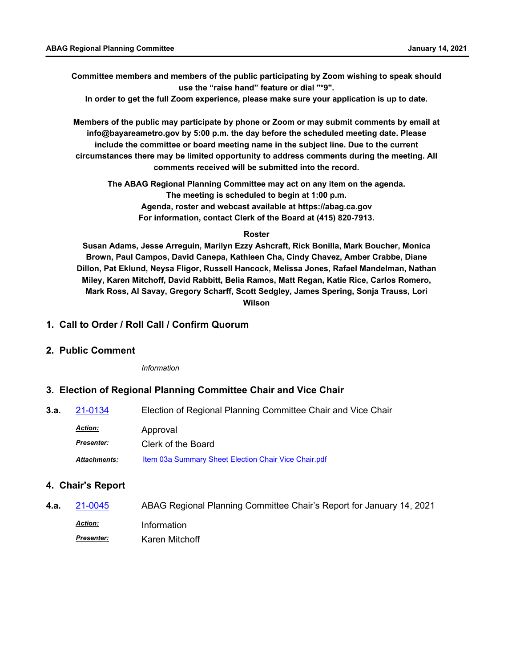**Committee members and members of the public participating by Zoom wishing to speak should use the "raise hand" feature or dial "\*9".**

**In order to get the full Zoom experience, please make sure your application is up to date.**

**Members of the public may participate by phone or Zoom or may submit comments by email at info@bayareametro.gov by 5:00 p.m. the day before the scheduled meeting date. Please include the committee or board meeting name in the subject line. Due to the current circumstances there may be limited opportunity to address comments during the meeting. All comments received will be submitted into the record.**

**The ABAG Regional Planning Committee may act on any item on the agenda. The meeting is scheduled to begin at 1:00 p.m. Agenda, roster and webcast available at https://abag.ca.gov For information, contact Clerk of the Board at (415) 820-7913.**

#### **Roster**

**Susan Adams, Jesse Arreguin, Marilyn Ezzy Ashcraft, Rick Bonilla, Mark Boucher, Monica Brown, Paul Campos, David Canepa, Kathleen Cha, Cindy Chavez, Amber Crabbe, Diane Dillon, Pat Eklund, Neysa Fligor, Russell Hancock, Melissa Jones, Rafael Mandelman, Nathan Miley, Karen Mitchoff, David Rabbitt, Belia Ramos, Matt Regan, Katie Rice, Carlos Romero, Mark Ross, Al Savay, Gregory Scharff, Scott Sedgley, James Spering, Sonja Trauss, Lori Wilson**

### **1. Call to Order / Roll Call / Confirm Quorum**

#### **2. Public Comment**

*Information*

#### **3. Election of Regional Planning Committee Chair and Vice Chair**

**3.a.** [21-0134](http://mtc.legistar.com/gateway.aspx?m=l&id=/matter.aspx?key=21727) Election of Regional Planning Committee Chair and Vice Chair Approval *Action: Presenter:* Clerk of the Board Attachments: [Item 03a Summary Sheet Election Chair Vice Chair.pdf](http://mtc.legistar.com/gateway.aspx?M=F&ID=9c0ecb60-a497-4240-bd78-80bbc107d0e0.pdf)

#### **4. Chair's Report**

**4.a.** [21-0045](http://mtc.legistar.com/gateway.aspx?m=l&id=/matter.aspx?key=21638) ABAG Regional Planning Committee Chair's Report for January 14, 2021 *Action:* Information Karen Mitchoff *Presenter:*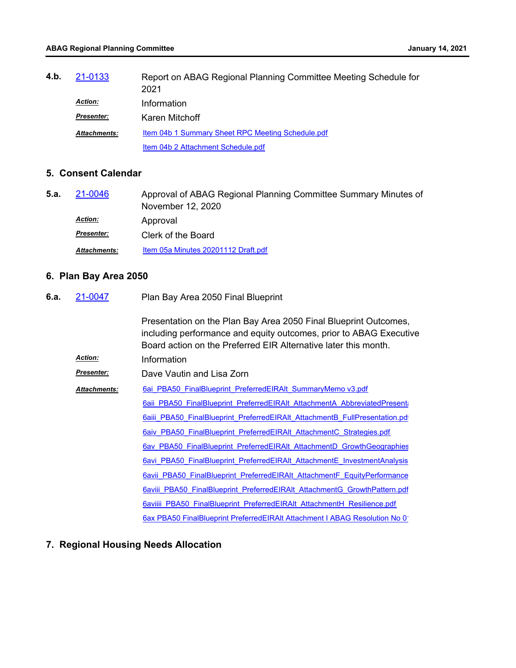| 4.b. | 21-0133             | Report on ABAG Regional Planning Committee Meeting Schedule for<br>2021 |
|------|---------------------|-------------------------------------------------------------------------|
|      | <b>Action:</b>      | Information                                                             |
|      | <b>Presenter:</b>   | Karen Mitchoff                                                          |
|      | <b>Attachments:</b> | <b>Item 04b 1 Summary Sheet RPC Meeting Schedule.pdf</b>                |
|      |                     | Item 04b 2 Attachment Schedule.pdf                                      |

### **5. Consent Calendar**

| 5.a. | 21-0046             | Approval of ABAG Regional Planning Committee Summary Minutes of<br>November 12, 2020 |
|------|---------------------|--------------------------------------------------------------------------------------|
|      | <b>Action:</b>      | Approval                                                                             |
|      | <b>Presenter:</b>   | Clerk of the Board                                                                   |
|      | <b>Attachments:</b> | Item 05a Minutes 20201112 Draft.pdf                                                  |

# **6. Plan Bay Area 2050**

| 6.a. | 21-0047             | Plan Bay Area 2050 Final Blueprint<br>Presentation on the Plan Bay Area 2050 Final Blueprint Outcomes,<br>including performance and equity outcomes, prior to ABAG Executive<br>Board action on the Preferred EIR Alternative later this month. |  |
|------|---------------------|-------------------------------------------------------------------------------------------------------------------------------------------------------------------------------------------------------------------------------------------------|--|
|      |                     |                                                                                                                                                                                                                                                 |  |
|      | <b>Action:</b>      | Information                                                                                                                                                                                                                                     |  |
|      | Presenter:          | Dave Vautin and Lisa Zorn                                                                                                                                                                                                                       |  |
|      | <b>Attachments:</b> | 6ai PBA50 FinalBlueprint PreferredEIRAIt SummaryMemo v3.pdf                                                                                                                                                                                     |  |
|      |                     | 6aii PBA50 FinalBlueprint PreferredEIRAIt AttachmentA AbbreviatedPresent                                                                                                                                                                        |  |
|      |                     | 6aiii PBA50 FinalBlueprint PreferredEIRAIt AttachmentB FullPresentation.pd                                                                                                                                                                      |  |
|      |                     | 6aiv PBA50 FinalBlueprint PreferredEIRAIt AttachmentC Strategies.pdf                                                                                                                                                                            |  |
|      |                     | 6av PBA50 FinalBlueprint PreferredEIRAIt AttachmentD GrowthGeographies                                                                                                                                                                          |  |
|      |                     | 6avi PBA50 FinalBlueprint PreferredEIRAIt AttachmentE InvestmentAnalysis                                                                                                                                                                        |  |
|      |                     | 6avii PBA50 FinalBlueprint PreferredEIRAIt AttachmentF EquityPerformance                                                                                                                                                                        |  |
|      |                     | 6aviii PBA50 FinalBlueprint PreferredEIRAIt AttachmentG GrowthPattern.pdf                                                                                                                                                                       |  |
|      |                     | 6aviiii PBA50 FinalBlueprint PreferredEIRAIt AttachmentH Resilience.pdf                                                                                                                                                                         |  |
|      |                     | 6ax PBA50 FinalBlueprint PreferredEIRAIt Attachment I ABAG Resolution No 0                                                                                                                                                                      |  |

# **7. Regional Housing Needs Allocation**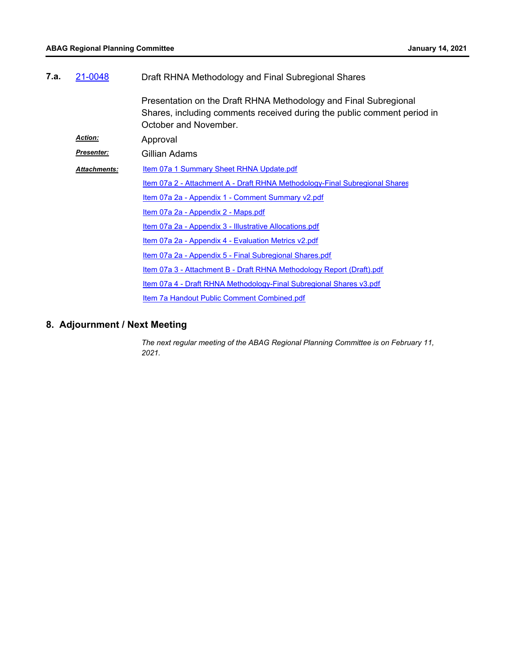| 7.a. | 21-0048             | Draft RHNA Methodology and Final Subregional Shares                                                                                                                  |  |
|------|---------------------|----------------------------------------------------------------------------------------------------------------------------------------------------------------------|--|
|      |                     | Presentation on the Draft RHNA Methodology and Final Subregional<br>Shares, including comments received during the public comment period in<br>October and November. |  |
|      | <b>Action:</b>      | Approval                                                                                                                                                             |  |
|      | Presenter:          | Gillian Adams                                                                                                                                                        |  |
|      | <b>Attachments:</b> | <b>Item 07a 1 Summary Sheet RHNA Update.pdf</b>                                                                                                                      |  |
|      |                     | <u>Item 07a 2 - Attachment A - Draft RHNA Methodology-Final Subregional Shares</u>                                                                                   |  |
|      |                     | Item 07a 2a - Appendix 1 - Comment Summary v2.pdf                                                                                                                    |  |
|      |                     | Item 07a 2a - Appendix 2 - Maps.pdf                                                                                                                                  |  |
|      |                     | Item 07a 2a - Appendix 3 - Illustrative Allocations.pdf                                                                                                              |  |
|      |                     | Item 07a 2a - Appendix 4 - Evaluation Metrics v2.pdf                                                                                                                 |  |
|      |                     | Item 07a 2a - Appendix 5 - Final Subregional Shares.pdf                                                                                                              |  |
|      |                     | <u>Item 07a 3 - Attachment B - Draft RHNA Methodology Report (Draft).pdf</u>                                                                                         |  |
|      |                     | Item 07a 4 - Draft RHNA Methodology-Final Subregional Shares v3.pdf                                                                                                  |  |
|      |                     | Item 7a Handout Public Comment Combined.pdf                                                                                                                          |  |

### **8. Adjournment / Next Meeting**

*The next regular meeting of the ABAG Regional Planning Committee is on February 11, 2021.*